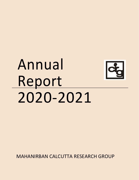# Annual Report 2020-2021



MAHANIRBAN CALCUTTA RESEARCH GROUP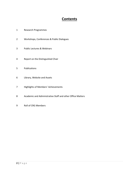# **Contents**

- Research Programmes
- Workshops, Conferences & Public Dialogues
- Public Lectures & Webinars
- Report on the Distinguished Chair
- Publications
- Library, Website and Assets
- Highlights of Members' Achievements
- Academic and Administrative Staff and other Office Matters
- Roll of CRG Members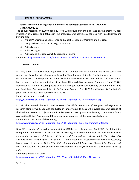## **1. RESEARCH PROGRAMMES**

# **1.1.Global Protection of Migrants & Refugees,** *in collaboration with Rosa Luxemburg Stiftung* **(2020-21)**

The annual research of 2020 funded by Rosa Luxembourg Stiftung (RLS) was on the theme "Global Protection of Migrants and Refugees". The broad research activities conducted with Rosa Luxembourg Stiftung are:

- 1. Annual Workshop and Conference on Global Protection of Migrants and Refugees
- 2. Living Archive: Covid-19 and Migrant Workers
- 3. Public Lecture
- 4. Public Dialogue
- 5. Publications: Refugee Watch & Occasional Papers

For details: [http://www.mcrg.ac.in/RLS\\_Migration\\_2020/RLS\\_Migration\\_2020\\_Home.asp](http://www.mcrg.ac.in/RLS_Migration_2020/RLS_Migration_2020_Home.asp)

# **1.1.1. Research work:**

In 2020, three staff researchers-Rajat Roy, Rajat Kanti Sur and Utsa Sarmin; and three contracted researchers-Paula Banerjee, Sabyasachi Basu Ray Chaudhury and Shibashis Chatterjee were selected to do their research on the proposed theme. Both the contracted researchers and the staff researchers had presented their research findings at the Annual Research Workshop and Conference from 16<sup>th</sup>-20<sup>th</sup> November 2021. Four research papers by Paula Banerjee, Sabyasachi Basu Ray Chaudhury, Rajat Roy and Rajat Kanti Sur were published in *Policies and Practices* No.117-120 and Shibashsis Chatterjee's paper was published in *Refugee Watch,* Issue 56.

For details on staff researchers:

[http://www.mcrg.ac.in/RLS\\_Migration\\_2020/RLS\\_Migration\\_2020\\_Researchers.asp](http://www.mcrg.ac.in/RLS_Migration_2020/RLS_Migration_2020_Researchers.asp)

In 2021 the research theme is titled as *Deep Dive: Global Protection of Refugees and Migrants*. A research planning workshop was conducted in January 2021 to decide the overall research agenda of the institute's research projects under RLS. Forty-seven participants from Europe, USA, Canada, South Asia and South East Asia attended the meeting and seventeen of them participated online.

For details on the report of the meeting:

[http://www.mcrg.ac.in/RLS\\_Migration\\_2021/RLS\\_Migration\\_2021\\_Programmes\\_2021.asp](http://www.mcrg.ac.in/RLS_Migration_2021/RLS_Migration_2021_Programmes_2021.asp)

New RLS researchers/research associates joined CRG between January and April 2021. Rajat Kanti Sur (Programme and Research Associate) will be working on *Election Campaigns as Performance: How Importantly the Issues of Migrants, Refugees and Displaced were Addressed in Three Assembly Elections in West Bengal 1977, 2011 and 2021*. Anand Upendran (Programme and Research Associate) has proposed to work on, *At Sea? The State of International Refugee Law*. Shatabdi Das (Researcher) has submitted her research proposal on *Development and Displacement in the Damodar Valley of India*.

For details of abstracts visit:

[http://www.mcrg.ac.in/RLS\\_Migration\\_2021/Papers/Shatabdi%20Das\\_Abstract.pdf](http://www.mcrg.ac.in/RLS_Migration_2021/Papers/Shatabdi%20Das_Abstract.pdf)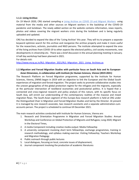## **1.1.2. Living Archive:**

On 19 March 2020, CRG started compiling a [Living Archive on COVID 19 and Migrant Workers](http://www.mcrg.ac.in/CRG_COVID-19/Covid_Migrant_Workers_Home.asp) using material from the media and other sources on Migrant workers in the backdrop of the COVID-19 pandemic and lockdown. The newly added section on the website contains information, news reports, photos and videos covering the migrant workers crisis during the lockdown and is being regularly uploaded and updated.

CRG has decided to expand the idea of the 'Living Archive' this year. They will try to prepare a separate keyword optimize search for this archive and reorganize the archive properly and make it more useful for the researchers, activists, journalists and NGO persons. The institute attempted to expand the area of the living archives from COVID-19 to other aspects like electoral politics, civil society movements, new developments in citizenship etc. There was a brief discussion in the annual planning meeting in January. A half day workshop had been planned in 2021.

For details visit:

http://www.mcrg.ac.in/RLS\_Migration\_2021/RLS\_Migration\_2021\_Living\_Archives.as

# **1.2.Migration and Forced Migration Studies with particular focus on South Asia and its European-Asian Dimension,** *in collaboration with Institute for Human Sciences, Vienna* **(2019-2021)**

The Research Platform on Forced Migration programme, supported by the Institute for Human Sciences, Vienna, (IWM) began in 2019 with an objective to link the European and the Global South experiences of migration and forced migration. The project seeks to promote collaborative studies into the uneven geographies of the global protection regime for the refugees and the migrants, especially at the particular intersection of neoliberal economies and postcolonial politics. It is hoped that a connected and cross-regional research and policy analysis of this nature, with its specific focus on South Asia, will enrich our understanding of the contemporary realities of the massive and mixed migration flows. The South-Asian segment of this Europe-Asia research platform is held at CRG under the Distinguished Chair in Migration and Forced Migration Studies and led by the Director. At present it is managed by one research associate, two research assistants and a separate administration-cumaccounts person. The project is scheduled to continue till December 2021.

The main research activities conducted with Institute for Human Sciences, Vienna are:

- 1. Research and Orientation Programme in Migration and Forced Migration Studies: Annual Workshop and Conference on Global Protection of Migrants and Refugees; Long 2020; Migrant in the Electoral Times,
- 2. A media Component including creative media output: Media Fellowship
- 3. A university component involving short term fellowships, exchange programmes, training in research methodology, and syllabus making exercise: Visiting Fellowship; Teachers Workshop and Migration Pedagogy
- 4. Public outreach through public lectures
- 5. Local dialogues, focusing on local, concrete issues of displacement,
- 6. Journal component involving the production of academic literatures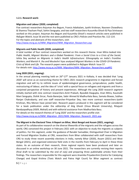#### **1.2.1. Research work:**

#### **Migration and Labour (2020, completed)**

Five contract researchers-Anjuman Ara Begum, Francis Adaikalam, Jyothi Krishnan, Nasreen Chowdhory & Shamna Thacham Poyil, Sohini Sengupta; and two staff researchers-Kusumika Ghosh & Piya Srinivasan worked on this project. Anjuman Ara Begum and Kusumika Ghosh's research articles were published in *Refugee Watch,* Issue 56 and the rest were published as CRG's *Policies and Practices* No. 112-114. For the topics and abstracts of the researchers, visit:

[http://www.mcrg.ac.in/IWM\\_Migration/IWM\\_Migration\\_Researchers.asp](http://www.mcrg.ac.in/IWM_Migration/IWM_Migration_Researchers.asp)

#### **Migrants and Public Health (2020, completed)**

A total number of four contract researchers worked on this research theme. Iman Mitra looked into *Public Health, Migrant Workers and a Global Pandemic: From a Social Crisis to a Crisis of the Social*; Ishita Dey worked on *Migrants in India's Health Infrastructure: Ethnography on India's Frontline Workers*; and Manish K. Jha and Mouleshri Vyas analysed *Migrant Workers in the COVID-19 Pandemic: Crisis of Work and Life*. The research papers were published in *Refugee Watch:* Issue 57. For details visit[: http://www.mcrg.ac.in/IWM\\_Migration/IWM\\_Migration\\_Researchers.asp#R2](http://www.mcrg.ac.in/IWM_Migration/IWM_Migration_Researchers.asp#R2)

#### **Long 2020 (2021, ongoing):**

In the annual planning meeting held on 26<sup>th</sup>-27<sup>th</sup> January 2021 in Kolkata, it was decided that 'Long 2020' will serve as an overarching theme for CRG's 2021 research programme in migration and forced migration and will try to rethink issues of epidemiological governance, jurisprudence, public health, restructuring of labour, and the idea of 'crisis' with a special focus on refugees and migrants and from a conjoined perspective of history and present experiences. Although the Long 2020 research segment initially started with nine contract researchers-Amit Prakash, Byasdeb Dasgupta, Iman Mitra, Kaustubh Mani Sengupta, Oishik Sircar, Paula Banerjee, Sabir Ahmed & Madhurilata Basu, Samata Biswas, Subhas Ranjan Chakrabarty; and one staff researcher-Priyankar Dey; two more contract researchers-Jyothi Krishnan, Ritu Menon have joined later. Research papers produced in this segment will be considered for a book publication under the editorship of Atig Ghosh (Visva Bharati University), Ritajyoti Bandyopadhyay (IISER, Mohali) and with editorial assistance from Madhurilata Basu. For details on the research themes of 'Long 2020' and the researchers profile visit:

[http://www.mcrg.ac.in/IWM\\_Migration\\_2021/IWM\\_Migration\\_Research\\_2021.asp.](http://www.mcrg.ac.in/IWM_Migration_2021/IWM_Migration_Research_2021.asp)

#### **The Migrant in the Electoral Time: A Report on Bihar, West Bengal and Assam (2021, ongoing):**

As part of its collaborative research on the diverse lifeworlds of the migrants and the refugees across the world, CRG conceived this project in February 2021 with an objective to study the migrants as subjects of politics. For this segment, under the guidance of Ranabir Samaddar, Distinguished Chair in Migration and Forced Migration Studies at CRG, researchers from Bihar collaborated with staff researchers from CRG to study three recent assembly elections in India, namely Bihar (2020), Assam (2021) and West Bengal (2021), and organized extensive field visits in the months from February to April in these three states. As an outcome of their research, three regional reports have been produced and later on discussed in an online workshop on 30 June 2021. The researchers are currently revising their reports (final draft to be submitted by the end of July) and preparing three publishable articles from their findings. The researchers responsible for this segment were Anamika Priyadarshini (Centre for Catalyzing Change) and Gopal Krishna (Toxic Watch and Patna High Court) for Bihar segment as contract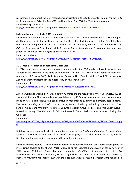researchers and amongst the staff researchers participating in the study are Ankur Tamuli Phukan (CRG) for Assam segment, Priyankar Dey (CRG) and Rajat Kanti Sur (CRG) for West Bengal segment. For the concept note, visit: [http://www.mcrg.ac.in/IWM\\_Migration\\_2021/IWM\\_Migration\\_Research\\_2021.asp.](http://www.mcrg.ac.in/IWM_Migration_2021/IWM_Migration_Research_2021.asp)

# **Individual research projects (2021, ongoing):**

For the current academic year 2021, two desk researchers try to look into multitude of citizen-refugee duality experiences in the politics of the local in the nation building process. Ankur Tamuli Phukan (Research and Programme Associate) is working on *'The Politics of the Local: The Contingencies of Citizenry in Assam: A Case Study'*, while Rituparna Datta (Research and Programme Assistant) has proposed to work on *'The Refugees of West Bengal in 1971'*.

For details of abstracts:

[http://www.mcrg.ac.in/IWM\\_Migration\\_2021/IWM\\_Migration\\_Research\\_2021.asp.](http://www.mcrg.ac.in/IWM_Migration_2021/IWM_Migration_Research_2021.asp)

# **1.2.2. Media Research and Short-term Media Grants:**

In 2020, four media fellows were awarded grants under the CRG media fellowship program on 'Reporting the Migrants in the Time of an Epidemic' in June 2020. The fellows submitted their final reports on 15 October 2020. Amit Sengupta, Debasish Aich, Geetika Mishra, Swati Bhattacharya & Abhjnan Sarkar participated in the media study on migrant workers.

For details visit:

[http://www.mcrg.ac.in/IWM\\_Migration/IWM\\_Migration\\_Researchers.asp#R2](http://www.mcrg.ac.in/IWM_Migration/IWM_Migration_Researchers.asp#R2)

A media workshop was held on '*The Epidemic, Migrants and the Media'* from 4<sup>th</sup>-5<sup>th</sup> December, 2020 at Swabhumi, Kolkata. The keynote lecture was delivered by AS Panneerselvan. Apart from presentations made by CRG media fellows, the panels included moderations by eminent journalist, academicians. The book *"Situating Social Media: Gender, Caste, Protest, Solidarity"* edited by Samata Biswas (The Sanskrit College and University, Kolkata & Calcutta Research Group, Kolkata) and Atig Ghosh (Visva-Bharati University, Shantiniketan & Calcutta Research Group, Kolkata) was launched during the workshop.

For details:

[www.mcrg.ac.in/IWM\\_Migration/Epidemic,%20Migrants%20&%20the%20Media\\_%20A%20Workshop.p](http://www.mcrg.ac.in/IWM_Migration/Epidemic,%20Migrants%20&%20the%20Media_%20A%20Workshop.pdf)  $df$ 

CRG has signed a book-contract with Routledge to bring out the *Media on Migrants in the Time of an Epidemic: A Reader*, an outcome of last year's media programme. The book is edited by Bharat Bhushan and the publication is currently in the proof-reading stage.

For the academic year 2021, five new media fellows have been selected for short-term media grants for investigative studies on the theme *'What Happened to the Refugees and Migrants in the Covid Year of 2020'—*Aman (Siddhant) Gupta (Freelance journalist), *'Conditions of labourers in regions like Bundelkhand after Corona epidemic'*; Devika Singh Shekhawat (PhD Scholar, Ambedkar University, Delhi), *'Work health and labour: ASHA workers in tea plantations of Assam'*; Nivedita Manpoong (Nellie)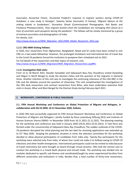(Journalist, *Arunachal Times*), *'Arunachal Pradesh's response to migrant workers during COVID-19 lockdown: a case study in Itanagar'*; Sukanta Sarkar (Journalist, *Ei Samay*), '*Migrant labours at the sinking islands in Sundarbans'*; Shuvankur Ghosh (Commissioned Photographer, Roli Books and Freelance Photojournalist), *'How migrant workers from the Sundarbans are reimaging their future at a*  time of uncertain work prospects during the pandemic'. The fellows will be closely mentored by a group of eminent journalists and photographers of India.

For details, visit:

http://www.mcrg.ac.in/IWM\_Migration\_2021/IWM\_Media\_Researchs\_2021.asp

# **1.2.3. CRG-IWM Visiting Fellows:**

In 2020, four researchers from Afghanistan, Bangladesh, Nepal and Sri Lanka have been invited to visit CRG on a two-week fellowship. However, the prolonged shutdowns and international ban of travel due to the Covid-19 pandemic forced the institution to postpone their scheduled visit to 2021. For full details of the researchers and their topics of research, visit: [http://www.mcrg.ac.in/IWM\\_Migration/IWM\\_Migration\\_Researchers.asp#R4.](http://www.mcrg.ac.in/IWM_Migration/IWM_Migration_Researchers.asp#R4)

# **1.2.4. Investigative field visits:**

From 15 to 18 March 2021, Ranabir Samaddar and Sabyasachi Basu Ray Chaudhury visited Darjeeling and Siliguri in North Bengal to study the election milieu and the question of the migrants in electoral times. Another intention of this visit was to investigate the continuing relevance of the CAA-NRC in the hills and the debates around the question of citizenship. This visit complimented the investigations of the CRG desk researchers and contract researchers from Bihar, who have undertaken extensive field visits in Assam, Bihar and West Bengal for the Election Study during February-April 2021.

# **2. WORKSHOPS, CONFERENCES & PUBLIC DIALOGUES**

# **2.1. Fifth Annual Workshop and Conference on Global Protection of Migrant and Refugees,** *in collaboration with RLS & IWM***, 16-21 November 2020, Kolkata**

In 2020 CRG had successfully organised its Fifth Annual Research Workshop and Conference on Global Protection of Migrant and Refugees—jointly funded by Rosa Luxemburg Stiftung (RLS) and Institute of Human Sciences Vienna (IWM)—in November 2020 from 16.11.2021-21.11.2021. The planning meeting for the workshop and conference was held in January 2020 (24.01.2021-25.01.2021). A Task force was formed under the convenorship of Sabyasachi Basu Ray Chaudhury The sudden outbreak of the COVID-19 pandemic disrupted the initial planning and the last date for receiving applications was extended up to 31<sup>st</sup> May 2020. Keeping the pandemic situation in mind, the selection committee for the workshop decided to allow physical participation of candidates from India only. Twenty-five participants for the workshop were selected only from India, of whom four could not make it to Kolkata owing to COVID-19 infections and other health emergencies. International participants could not be invited to India because of travel restrictions but were brought on board through virtual sessions. CRG took the utmost care to conduct the workshop in a mixed (both physical and virtual) mode. The workshop was divided into six modules dedicated to specific sub-themes and coordinated/taught by seven experienced faculties from different universities and institutions in India. Besides that, a total number of thirty-nine researchers,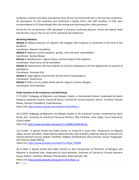academics, activists and policy practitioners from all over the world took part in the one-day conference. All participants for the workshop and conference, module tutors and staff members of CRG were accommodated in ITC Royal Bengal after due testing and observing other safety protocols.

Forced by the circumstances CRG developed a structure combining physical, virtual and hybrid mode that became a key to the success of the workshop and conference.

# **Workshop Modules:**

*Module A:* Global protection of migrants and refugees with emphasis on protection in the time of the pandemic.

Coordinator: Nasreen Chowdhory

*Module B*: Migrants and the epidemic: gender, race and other vulnerabilities.

Coordinator: Samata Biswas

*Module C:* Neoliberalism, migrant labour and the burden of the epidemic

Coordinator: Arup kumar sen & Iman Mitra

*Module D:* Statelessness with the emphasis on de facto statelessness and the rightlessness of sections of populations

Coordinator: Parivelan K.M.

*Module E:* Legal regimes of protection and the time of the pandemic

Coordinator: Oishik Sircar

*Module F:* Ethics of care, public health and the migrants and the refugees

Coordinator: Paula Banerjee

# **Public Sessions of the Conference and Workshop:**

17.11.2021: *Pedagogy of Migration and Refugee Studies in Postcolonial Context*, moderated by Shalini Randeria, Graduate Institute, Geneva & Rector, Institute for Human Sciences, Vienna. Panellists: Samata Biswas, Nasreen Chowdhory, Paula Banerjee.

Video Link[: https://www.youtube.com/watch?v=Oi2u3FEHL\\_s](https://www.youtube.com/watch?v=Oi2u3FEHL_s)

18.11.2020: *Pedagogy of Migration and Refugee Studies in the European Context,* moderated by Samir Kumar Das, University of Calcutta & Honorary Director, CRG. Panellists: Ayse Caglar, Laura Hammond, Charles Heller.

Video link[: https://www.youtube.com/watch?v=TQMBcyFAbWY&t=4s](https://www.youtube.com/watch?v=TQMBcyFAbWY&t=4s)

19.11.2020: *A Special Virtual and Public Session on Covid-19 in South Asia: Perspectives on Migrant Labour Society and State,* moderated by Sabyasachi Basu Ray Chaudhry, Rabindra Bharati University and Calcutta Research Group, Kolkata. Panellists: Meghna Guhathakurta, Reza Hussaini, Jeevan Thiagarajah, Hari Sharma, Saqib Jafferey.

Video Link[: https://www.youtube.com/watch?v=57Xya\\_ATNNQ](https://www.youtube.com/watch?v=57Xya_ATNNQ)

20.11.2020: *A Special Virtual and Public Session on New Perspectives of Protection of Refugees and Migrants in Southeast Asia,* moderated by Paula Banerjee, University of Calcutta & Calcutta Research Group, Kolkata. Panellists: Naityana Thanawattho, Malini Ramalo, TBC.

Video Link[: https://www.youtube.com/watch?v=HjT-Pbp-C\\_w](https://www.youtube.com/watch?v=HjT-Pbp-C_w)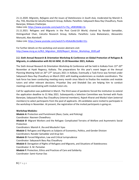21.11.2020: *Migrants, Refugees and the Issues of Statelessness in South Asia,* moderated by Manish K. Jha, TISS, Mumbai & Calcutta Research Group, Kolkata. Panellists: Sabyasachi Basu Ray Chaudhury, Paula Banerjee, Shibasis Chatterjee.

Video Link[: https://www.youtube.com/watch?v=7tq\\_vR0KSR0&t=3s](https://www.youtube.com/watch?v=7tq_vR0KSR0&t=3s)

21.11.2021: Refugees and Migrants in the Post Covid-19 World, chaired by Ranabir Samaddar, Distinguished Chair, Calcutta Research Group, Kolkata. Panellists: Luiza Bialasiewicz, Alessandro Monsutti, Alex Aleinikoff.

Video Link[: https://www.youtube.com/watch?v=45AokJBe1bA&t=51s](https://www.youtube.com/watch?v=45AokJBe1bA&t=51s)

For further details on the workshop and session abstracts visit: [http://www.mcrg.ac.in/RLS\\_Migration\\_2020/Report\\_Winter\\_Workshop\\_2020.pdf](http://www.mcrg.ac.in/RLS_Migration_2020/Report_Winter_Workshop_2020.pdf)

# **2.2. Sixth Annual Research & Orientation Workshop & Conference on Global Protection of Refugees & Migrants,** *in collaboration with RLS & IWM***, 15-20 November 2021, Kolkata**

The Sixth Annual Research & Orientation Workshop & Conference will be held in Kolkata from 15<sup>th</sup>-20<sup>th</sup> November at Hyatt Regency, Kolkata. The preparations for this year's event began at the Annual Planning Meeting held on 26<sup>th</sup>-27<sup>th</sup> January 2021 in Kolkata. Eventually a Task-Force was formed under Sabyasachi Basu Ray Chaudhury on March 2021 with leading academicians as module coordinators. The task force has been conducting meeting every month since March to finalize the modules and module tutors and other relevant decisions. Priyankar Dey and Shatabdi Das are helping him to conduct meetings and coordinating with module tutors etc.

Call for application was published in March. The third wave of pandemic forced the institution to extend the application deadline to 31 May 2021. Subsequently a Selection Committee was formed with Paula Banerjee, Sabyasachi Basu Ray Chaudhury (internal members), Rajesh Kharat and Maidul Islam (external members) to select participants from the pool of applicants. 28 candidates were invited to participate in the workshop in November. At present, the registration of the invited participants is going on.

# **Workshop Modules:**

*Module A:* Protection and Punishment (Race, Caste, and Policing) Coordinator: Nasreen Chowdhory *Module B:* Migrant Workers and the Refugee: Complicated Terrains of Welfare and Asymmetric Social Protection Coordinators: Manish K. Jha and Mouleshri Vyas *Module C:* Refugees and Migrants as Subjects of Economics, Politics, and Gender Division Coordinators: Ranabir Samaddar and Arup Sen *Module D:* Forced Migration, Law and Critical Jurisprudence Coordinator: Sabyasachi Basu Ray Chaudhury *Module E:* Derogation of Rights of Refugees and Migrants, and Situations of Statelessness Coordinator: K. M. Parivelan *Module F:* Protection, Ethics and Practices of Care and Solidarity Coordinator: Samir Kumar Das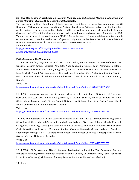# **2.3. Two Day Teachers' Workshop on** *Research Methodology and Syllabus Making in Migration and Forced Migration Studies***, 21-22 December 2020, Kolkata.**

The workshop, held at Swabhumi, Kolkata, was preceded by a pre-workshop roundtable on 20 December 2020 where speakers from Nepal, Pakistan, Bangladesh, Sri Lanka and Afghanistan took stock of the available courses in migration studies in different colleges and universities in South Asia and discussed their different disciplinary locations, curricula, and scopes and constraints. Supported by IWM, Vienna, the purpose of the Workshop on 21<sup>st</sup>-22<sup>nd</sup> December was to frame a syllabus for a two-month online refresher course for teachers on refugee and migration studies. More than thirty panellists and resource persons took part in the eight sessions for two consecutive days. For details, visit:

[http://www.mcrg.ac.in/IWM\\_Migration/Teachers'%20workshop](http://www.mcrg.ac.in/IWM_Migration/Teachers)[schedule%2021%2022%20Dec%2020.pdf](http://www.mcrg.ac.in/IWM_Migration/Teachers)

# **Public Sessions of the Workshop:**

20.11.2020: *Teaching Migration in South Asia.* Moderated by Paula Banerjee (University of Calcutta & Calcutta Research Group, Kolkata). Panellists: Noor Sanauddin (University of Peshawar, Pakistan), Amena Mohsin (University of Dhaka, Bangladesh), Indralal De Silva (University of Colombo & RCSS, Sri Lanka), Mujib Ahmed Azizi (Afghanistan Research and Evaluation Unit, Afghanistan), Anita Ghimire (Nepal Institute of Social and Environmental Research, Nepal) Arjun Kharel (Social Sciences Baha, Nepal).

Video Link:

<https://www.facebook.com/MahanirbanCalcuttaResearchGroup/videos/1676613705855241>

21.11.2021: *Innovative Methods of Research*. Moderated by Lydia Potts (University of Oldeburg, Germany); discussant was Saima Farhad (University of Kashmir, Srinagar). Panellists: Sandro Mezzadra (University of Bologna, Italy), Giorgio Grappi (University of Bologna, Italy) Ayse Caglar (University of Vienna and Institute for Human Sciences, Vienna).

Video Link:

[https://www.facebook.com/MahanirbanCalcuttaResearchGroup/videos/200507438398169.](https://www.facebook.com/MahanirbanCalcuttaResearchGroup/videos/200507438398169)

22.11.2020: *Impossibility of Politics-Itinerant Situation In Arts and Politics.* Moderated by Atig Ghosh (Visva Bharati University and Calcutta Research Group*,* Kolkata); Discussant: Subarna Mandal (Sanskrit College and University, Kolkata). Introductory Note was delivered by Ranabir Samaddar (Distinguished Chair Migration and forced Migration Studies, Calcutta Research Group, Kolkata). Panellists: Subhoranjan Dasgupta (IDSK, Kolkata), Oishik Sircar (Jindal Global University, Sonipat), Brett Nielsen (Western Sydney University, Australia).

Video Link:

[https://www.facebook.com/MahanirbanCalcuttaResearchGroup/videos/703144177053788.](https://www.facebook.com/MahanirbanCalcuttaResearchGroup/videos/703144177053788)

22.11.2020: *Global Lives and World Literature.* Moderated by Kaustubh Mani Sengupta (Bankura University, Bankura); Discussant: Babita Verma (Laxmibai College, University of Delhi, Delhi). Panellists: Imran Ayata (Germany) Mohammed Shafeeq (Manipal Centre for Humanities, Manipal).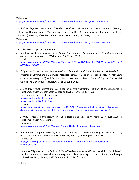Video Link:

<https://www.facebook.com/MahanirbanCalcuttaResearchGroup/videos/481279686169142>

22.11.2020: *Refugee Literature(s), Histories, Identities.* Moderated by Shalini Randeria (Rector, Institute for Human Sciences, Vienna); Discussant: Tista Das (Bankura University, Bankura). Panellists: Allahayari (University of Melbourne Australia), Anwesha Sengupta (IDSK, Kolkata). Video Link:

<https://www.facebook.com/MahanirbanCalcuttaResearchGroup/videos/1104952019941114>

# **2.4. Other workshops and symposiums**

- a. Mid-term Workshop in hybrid mode: *Europe-Asia Research Platform on Forced Migration: Initiating a new research focus* at the IWM, Vienna, 25-26 June 2020. For details: [http://www.mcrg.ac.in/IWM\\_Migration/Program%20Forced%20Migration%20Workshop%20Jun%2](http://www.mcrg.ac.in/IWM_Migration/Program%20Forced%20Migration%20Workshop%20Jun%2025%20and%2026.pdf) [025%20and%2026.pdf](http://www.mcrg.ac.in/IWM_Migration/Program%20Forced%20Migration%20Workshop%20Jun%2025%20and%2026.pdf)
- b. *"Migration: Dimensions and Perspectives", in collaboration with Netaji Satabarshiki Mahavidyalaya*.*.*  Webinar by Shyamalendu Majumdar (Associate Professor, Dept. of Political Science, Sivanath Sastri College; Secretary, CRG) and Samata Biswas (Assistant Professor, Dept. of English, The Sanskrit College and University; Treasurer, CRG) on 15 June, 2020.
- c. A One Day Virtual International Workshop on *Forced Migration: Humanity at the Crossroads* (in collaboration with Sivanath Sastri College and IWM, Vienna) 09 July 2020. For video recordings of the sessions: <https://youtu.be/h8ZE3CsLKmg> [https://youtu.be/BkaNNi\\_eZug](https://youtu.be/BkaNNi_eZug)  For report: [https://refugeewatchonline.wordpress.com/2020/08/20/a-long-road-with-no-turning-back-one](https://refugeewatchonline.wordpress.com/2020/08/20/a-long-road-with-no-turning-back-one-day-international-teachers-workshop-on-forced-migration-humanity-at-the-crossroads/)[day-international-teachers-workshop-on-forced-migration-humanity-at-the-crossroads/](https://refugeewatchonline.wordpress.com/2020/08/20/a-long-road-with-no-turning-back-one-day-international-teachers-workshop-on-forced-migration-humanity-at-the-crossroads/)
- d. A Virtual Research Symposium on Public Health and Migrant Workers, 21 August 2020 (in collaboration with IWM, Vienna). For report: [http://www.mcrg.ac.in/IWM\\_Migration/Public\\_Health\\_Symposium\\_Report.pdf](http://www.mcrg.ac.in/IWM_Migration/Public_Health_Symposium_Report.pdf)
- e. A Virtual Workshop for University Faculty Members on Research Methodology and Syllabus Making (in collaboration with University of Delhi & IWM, VIenna), 15-16 September 2020. For details: [http://www.mcrg.ac.in/IWM\\_Migration/National%20Webinar%20Political%20Science-](http://www.mcrg.ac.in/IWM_Migration/National%20Webinar%20Political%20Science-%20DBC%20.pdf) [%20DBC%20.pdf](http://www.mcrg.ac.in/IWM_Migration/National%20Webinar%20Political%20Science-%20DBC%20.pdf)
- f. Pandemic Migration and the Politics of Life: A Two Day International Virtual Workshop for University Faculty Members on Research Methodology and Syllabus Making (in collaboration with Vidyasagar University & IWM, Vienna), 24-25 September 2020. For full report: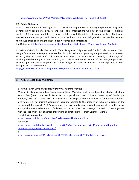# [http://www.mcrg.ac.in/IWM\\_Migration/Teacher's\\_Workshop\\_VU\\_Report\\_2020.pdf](http://www.mcrg.ac.in/IWM_Migration/Teacher)

# **2.5. Public Dialogues**

In 2020 CRG-RLS initiated a dialogue on the crisis of the migrant workers during the pandemic along with several individual experts, activists and civil rights organisations working on the issues of migrant workers. A forum was established to express solidarity with the millions of migrant workers. The forum met several times last year and tried to draft a resolution. A virtual dialogue with the members of the forum was organised during the November workshop and conference.

For Details visit[: http://www.mcrg.ac.in/RLS\\_Migration\\_2020/Report\\_Winter\\_Workshop\\_2020.pdf](http://www.mcrg.ac.in/RLS_Migration_2020/Report_Winter_Workshop_2020.pdf)

In 2021 CRG-IWM has decided to hold 'One Dialogue on Migration and Conflict' titled as *Bihar-West Bengal inter-regional dialogue* in September. For this, preliminary planning and preparations have been done by the Desk and CRG's collaborators from Bihar. The institution is currently at the stage of finalizing collaborating institution at Bihar, exact dates and venue, format of the dialogue, potential resource persons and participants etc. A final budget will soon be drafted. The concept note of the dialogue can be accessed on:

[http://www.mcrg.ac.in/IWM\\_Migration\\_2021/IWM\\_Migration\\_Events\\_2021.asp](http://www.mcrg.ac.in/IWM_Migration_2021/IWM_Migration_Events_2021.asp)

# **3. PUBLIC LECTURES & WEBINARS**

a*. "Public Health Crisis and Sudden Visibility of Migrant Workers"*

Webinar by Ranabir Samaddar (Distinguished Chair, Migration and Forced Migration Studies, CRG) and Samita Sen (Vere Harmsworth Professor of Imperial and Naval History, University of Cambridge; member, CRG), on 12 June, 2020. Prof. Samaddar investigated how the COVID-19 pandemic exploded as a veritable crisis for migrant workers in India and pointed to the urgency of including migrants in the social-health framework. Prof. Sen examined the reverse migration which the nation witnessed in horror and the alterations to be made if life, labour and health must truly converge. The webinar was organised with the support of Rosa Luxembourg Stiftung and Institute for Human Sciences, Vienna.

For a full video recording:

[https://www.youtube.com/watch?v=D-YxDbkwVqw&feature=emb\\_logo](https://www.youtube.com/watch?v=D-YxDbkwVqw&feature=emb_logo) 

For report:

[https://refugeewatchonline.wordpress.com/2020/06/16/report-on-covid-19-public-health-andthe](https://refugeewatchonline.wordpress.com/2020/06/16/report-on-covid-19-public-health-andthe-sudden-visibility-of-migrant-workers/)[sudden-visibility-of-migrant-workers/](https://refugeewatchonline.wordpress.com/2020/06/16/report-on-covid-19-public-health-andthe-sudden-visibility-of-migrant-workers/) 

&

[http://www.mcrg.ac.in/RLS\\_Migration\\_2020/RLS\\_Migration\\_2020\\_PublicLectures.asp.](http://www.mcrg.ac.in/RLS_Migration_2020/RLS_Migration_2020_PublicLectures.asp)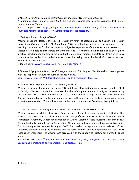b*. "Covid-19 Pandemic and the Spectral Presence of Migrant Workers and Refugees*,

A Roundtable discussion on 24 June 2020. The webinar was organised with the support of Institute for Human Sciences, Vienna.

For the report visit: [https://refugeewatchonline.wordpress.com/2020/10/12/report-on-covid-19-in](https://refugeewatchonline.wordpress.com/2020/10/12/report-on-covid-19-in-south-asia-regional-perspectives-on-vulnerabilities-and-dispossession/)[south-asia-regional-perspectives-on-vulnerabilities-and-dispossession/](https://refugeewatchonline.wordpress.com/2020/10/12/report-on-covid-19-in-south-asia-regional-perspectives-on-vulnerabilities-and-dispossession/)

# c. "*Redrawn Borders, Redefined Lives"*

Webinar by Sandro Mezzadra (Associate Professor, University of Bologna) and Paula Banerjee (Professor, University of Calcutta; member, CRG), on 8 July, 2020. In contending that the present pandemic has farreaching consequences for the structures and subjective experiences of domination and exploitation, Dr. Mezzadra attempted to incorporate the pandemic and its aftermath in his continuing study of global logistics. Prof. Banerjee challenged the idea that the erection of national and state borders is an effective solution to the pandemic and asked why lockdowns inevitably meant the denial of access to resources for those already vulnerable.

Video Link: <https://www.youtube.com/watch?v=1fzIDVbmoHY>

d. "Research Symposium: *Public Health & Migrant Workers"*, 21 August 2020. The webinar was organised with the support of Institute for Human Sciences, Vienna.

[http://www.mcrg.ac.in/IWM\\_Migration/Public\\_Health\\_Symposium\\_Report.pdf](http://www.mcrg.ac.in/IWM_Migration/Public_Health_Symposium_Report.pdf) 

# e*. "COVID 19 and Migrant Labour: Laws, Policies, Practices"*

Webinar by Kalpana Kannabiran (member, CRG) and Bharat Bhushan (eminent journalist; member, CRG), on 30 July, 2020. Prof. Kannabiran lamented that the suffering encountered by migrant workers during the pandemic was the consequence of the state's abdication of its legal and ethical obligations. Mr. Bhushan enumerated several lacunae and deficiencies in the ability of the legal and policy framework to protect migrant workers. The webinar was organised with the support of Rosa Luxembourg Stiftung.

# f*. "COVID 19 in South Asia: Regional Perspectives on Vulnerabilities and Dispossessions"*

Webinar by Amena Mohsin (Professor, Dept. of International Relations, University of Dhaka), Hari Sharma (Executive Director, Alliance for Social Dialogue/Social Science Baha, Kathmandu), Jeevan Thiagarajah (Chairman, Center for Humanitarian Affairs, Colombo), Reza Hussaini (Research Fellow, Afghanistan Public Policy Research Organisation, Afghanistan) and Saqib Jafarey (Professor of Economics, City, University of London), on 24 August, 2020. The speakers encapsulated the experiences of their respective countries during the pandemic and the social, political and developmental questions which those experiences raise. The webinar was organised with the support of Institute for Human Sciences, Vienna.

For report visit: [https://refugeewatchonline.wordpress.com/2020/10/12/report-on-covid-19-in-south](https://refugeewatchonline.wordpress.com/2020/10/12/report-on-covid-19-in-south-asia-regional-perspectives-on-vulnerabilities-and-dispossession/)[asia-regional-perspectives-on-vulnerabilities-and-dispossession/](https://refugeewatchonline.wordpress.com/2020/10/12/report-on-covid-19-in-south-asia-regional-perspectives-on-vulnerabilities-and-dispossession/)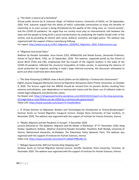# *g. "The Dalit: In Search of a Homeland"*

Virtual public lecture by N. Sukumar (Dept. of Political Science, University of Delhi), on 18 September, 2020. Prof. Sukumar argued that the ability of India's vulnerable communities to enjoy the benefits of citizenship or to even survive is being threatened by the apathy of the ruling class, an "uncivil society", and the COVID-19 pandemic. He urged that our society must play an interventionist role between the state and the people to bring forth a social transformation by eradicating the implicit feudal order of the society, and by providing all citizens with social, political, economic and legal justice. The webinar was organised with the support of Rosa Luxembourg Stiftung.

For report: [http://www.mcrg.ac.in/RLS\\_Migration\\_2020/RLS\\_Migration\\_2020\\_PublicLectures.asp](http://www.mcrg.ac.in/RLS_Migration_2020/RLS_Migration_2020_PublicLectures.asp)

# *h***. "***Migrants and Social Policy"*

Webinar by Ranabir Samaddar, Arun Kumar (CEO, APNALAYA) and Shewli Kumar, (Associate Professor, School of Social Work, TISS), on 23 September, 2020. The webinar, organised jointly by the School of Social Work (TISS) and CRG, emphasised that the travails of the migrant workers in the wake of the COVID-19 pandemic reflected the structural inequalities of Indian society. In examining the absence of social protection for migrants working in India's large informal economy, the discussion attempted to point out what could have been done better.

# i. *"The Slow Poisoning of NREGA: How a Rural Lifeline can be Stifled by a Technocratic Government"*

Eighth Jayanta Dasgupta Memorial Lecture by Rajendran Narayanan (Azim Premji University), on October 9, 2020. The lecture urged that the NREGA should be revived from its present decline resulting from extreme centralization, over-dependence on technocratic means and the clever use of software codes to violate legal safeguards and democratic values.

For Report visit: [https://refugeewatchonline.wordpress.com/2020/10/22/report-on-the-slow-poisoning](https://refugeewatchonline.wordpress.com/2020/10/22/report-on-the-slow-poisoning-of-nrega-how-a-rural-lifeline-can-be-stifled-by-a-technocratic-government/)[of-nrega-how-a-rural-lifeline-can-be-stifled-by-a-technocratic-government/](https://refugeewatchonline.wordpress.com/2020/10/22/report-on-the-slow-poisoning-of-nrega-how-a-rural-lifeline-can-be-stifled-by-a-technocratic-government/) Video Link:<https://www.youtube.com/watch?v=FwxHIIcDKvA>

j*. "A Virtual Seminar on Migration, Borders and Technologies-An Introduction to Techno-Borderscapes*" Seminar Series on Forced Migration Inaugural Lecture: Giorgia Dona (University of East London), 11 November 2020. The webinar was organised with the support of Institute for Human Sciences, Vienna.

# *k. "Media, Migrants and the Pandemic in Europe*", 5 December 2020.

Lecture delivered at 'The Epidemic, Migrants and the Media: A Workshop', 4<sup>th</sup>-5<sup>th</sup> December, 2020, Rang Darbar, Swabhumi, Kolkata. Webinar chaired by Ranabir Samaddar. Panellists: Ruth Wodak, University of Vienna, Mohammed Hamarsha, *Al-Shabaka, The Palestinian Policy Network, Paris.* The webinar was organised with the support of Institute for Human Sciences, Vienna.

Video Link: [https://www.youtube.com/watch?v=jd0a67Pf8bU&t=2s.](https://www.youtube.com/watch?v=jd0a67Pf8bU&t=2s)

# *l. "Refugee Sponsorship: Will Civil Society Keep Stepping Up?*"

Seminar Series on Forced Migration Second Lecture: Jennifer Hyndman (York University, Toronto), 16 December 2020. The webinar was organised with the support of Institute for Human Sciences, Vienna.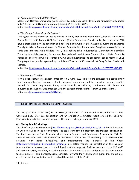# m. *"Women Surviving COVID In Africa"*

Moderator: Nasreen Chowdhory (Delhi University, India); Speakers: Renu Modi (University of Mumbai, India)' Amina Hersi (Oxfam International, Kenya), 29 December 2020. Video Link: https://www.facebook.com/MahanirbanCalcuttaResearchGroup/videos/1597830597087880

# n*. "The Eighth Krishna Memorial Lecture"*

**1.** The Eighth Krishna Memorial Lecture was delivered by Mohammed Mohinuddin (Chief of UNICEF, West Bengal Circle), on 21 March, 2021. Sabir Ahmed (Senior Researcher, Pratichi (India) Trust; member, CRG) gave a presentation on the condition of block-level health workers (ASHA workers) during the pandemic. The eighth Krishna Memorial Award for Women Educationists, Students and Caregivers was conferred on Tania Das (Bhoruka Public Welfare Trust), Jinat Rehena Islam (educationist, Murshidabad), Shantilata Todu (social activist working for women, Murshidabad), and Ashina Gramin Library (Falta, South 24 Parganas). The awards were presented by Arup Sen (educationist and economist; senior member, CRG). The programme, jointly organised by the Krishna Trust and CRG, was held at Rang Darbar, Swabhumi, Kolkata.

2. Video Link:<https://www.facebook.com/MahanirbanCalcuttaResearchGroup/videos/526977375343661>

# o*. "Borders and Mobility"*

Virtual public lecture by Ranabir Samaddar, on 3 April, 2021. The lecture discussed the contradictory implications of borders—as spaces of both union and separation—and the emerging issues and conflicts related to border regulations, immigration controls, surveillance, confinement, circulation and movement. The webinar was organised with the support of Institute for Human Sciences, Vienna. Video Link: [https://youtu.be/d521zQJyDms.](https://youtu.be/d521zQJyDms)

# 4. **REPORT ON THE DISTINGUISHED CHAIR (2020-21)**

The five-year term (2015-2020) of the Distinguished Chair of CRG ended in December 2020. The Governing Body after due deliberation and an evaluation committee report offered the Chair to Professor Samaddar for another two years. His new term began in January 2021.

# **4.1. Distinguished Chairs Page:**

The Chair's page on CRG website (http://www.mcrg.ac.in/Distinguished Chair CO.asp) has information on Chair's activities in the last five years. The page as indicated in last year's report needs redesigning. The Chair has now a Chair Associate who is also a Research and Programme Associate of CRG, Dr. Shatabdi Das. Now with a dedicated Chair Associate CRG can think of extending Chair's collaborative activities with other institutions, and implementing the mandate of the Chair [\(http://www.mcrg.ac.in/Distinguished\\_Chair.asp\)](http://www.mcrg.ac.in/Distinguished_Chair.asp) in a better manner. On completion of the five-year term the Chair expresses thanks for the full and unstinted support of all the members of the CRG staff and Governing Body members, and other members, in particular the past and present Directors and the team of advisers, Paula Banerjee, Sabyasachi Basu Ray Chaudhury, and Manish Kumar Jha. Thanks, are also to the funding institutions which enabled the activities of the Chair.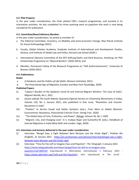# **4.2. Pilot Projects:**

In the year under consideration, the Chair piloted CRG's research programmes, and assisted in its orientation activities. He also completed his three yearlong work on populism–the work is now being considered for publication.

# **4.3. Committee/Board Advisory Member:**

In the year under consideration, he joined as member of:

- a. The Editorial Committee, Inventory, on Mobility and Socio-Economic Change, Max Planck Institute for Social Anthropology (2021)
- b. Faculty, Global Scholars Academy, Graduate Institute of International and Development Studies, Geneva, and Institute of Global Law and Policy, Harvard Law School (2020-)
- c. International Advisory Committee of the ZEIT-Stiftung Ebelin und Gerd Bucerius, Hamburg, for PhD Scholarships Programme on "Beyond Borders" (2020-2022); and
- d. Member, Permanent Fellow of the Research Programme on "Soft Authoritarianisms", University of Bremen (2020-2022)

# **4.4. Publications:**

# **Books**

- a. *A Pandemic and the Politics of Life* (Delhi: Women Unlimited, 2021)
- b. *The Postcolonial Age of Migration* (London and New York: Routledge, 2020)

# **Published Papers**

- (i) "Labour's Burden of the Epidemic Covid-19 and Internal Migrant Workers: The Case of India", *Migrant Worlds*, No 1, 2021
- (ii) (Guest edited) *The South Atlantic Quarterly* (Special Section on Citizenship Movements in India), Volume 120, No 1, January 2021; also published in that issue, "Revolution and Counter-Revolution in India"
- (iii) "Preface" to Kerstin Knopf and Detlev Quintern (eds.), *From Marx to Global Marxism: Eurocentrism, Resistance, Postcolonial Criticism* (Trier: Verlag Trier, 2020)
- (iv) "The Global Gaze of Care, Protection, and Power", Refuge, Volume 36, No 1, 2020
- (v) "Migrant, City, and Changing Lives" in S. Irudaya Rajan and Sumeetha M. (eds.), *Handbook of Internal Migration in India* (New Delhi and London: Sage, 2020)

# **4.5. Interviews and lectures delivered in the year under consideration:**

- (i) Interview: "Bengal Sees a Fight Between Baro Bhuiyan and the Hindu Right", *Prathan Alo* (English), 22 January 2021 - [https://en.prothomalo.com/opinion/interview/bengal-sees-a-fight](https://en.prothomalo.com/opinion/interview/bengal-sees-a-fight-between-baro-bhuiyan-and-the-hindu-right)[between-baro-bhuiyan-and-the-hindu-right](https://en.prothomalo.com/opinion/interview/bengal-sees-a-fight-between-baro-bhuiyan-and-the-hindu-right)
- (ii) Interview: "Time for the Left to Imagine Class and Populism", *The Telegraph*, 5 January 2021 [https://www.telegraphindia.com/west-bengal/time-for-left-to-re-imagine-class](https://www.telegraphindia.com/west-bengal/time-for-left-to-re-imagine-class-populism/cid/1802541)[populism/cid/1802541](https://www.telegraphindia.com/west-bengal/time-for-left-to-re-imagine-class-populism/cid/1802541) (reproduced in *Alternatives International*, 1 February 2021 [https://www.alterinter.org/?Left-and-the-Populists\)](https://www.alterinter.org/?Left-and-the-Populists); also reproduced in *The Scroll -*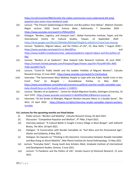[https://scroll.in/article/984231/why-the-indian-communists-must-understand-left-wing](https://scroll.in/article/984231/why-the-indian-communists-must-understand-left-wing-populism-plus-seven-more-weekend-reads)[populism-plus-seven-more-weekend-reads](https://scroll.in/article/984231/why-the-indian-communists-must-understand-left-wing-populism-plus-seven-more-weekend-reads) 

- (iii) Lecture: "The Present Epidemiological Moment and Bio-politics from Below", Mahesh Chandra Regmi Lecture 2020, Social Science Baha, Kathmandu, 7 December 2020 <https://www.youtube.com/watch?v=P0htniJOfV4>
- (iv) Dialogue: "Borders, Logistics, and Unequal Lives", Global Humanities Institute, Taipei, and the International Centre for Cultural Studies, Taiwan, 22 September 2020 <https://drive.google.com/file/d/1lW4sMeslNl5OqeFN3qjbh2j-wS6a5CmT/view?usp=sharing>
- (v) Lecture: "Epidemic, Migrant labour, and the Politics of Life", IIC, New Delhi, 7 August 2020 <https://www.youtube.com/watch?v=Lt-Mm30lYuc> and [https://www.iicdelhi.in/webcasts/view\\_webcast/epidemic-migrant-labour-and-the-politics-of](https://www.iicdelhi.in/webcasts/view_webcast/epidemic-migrant-labour-and-the-politics-of-life/)[life/](https://www.iicdelhi.in/webcasts/view_webcast/epidemic-migrant-labour-and-the-politics-of-life/)
- (vi) Lecture: "Borders of an Epidemic", New Zealand India Research Institute, 26 June 2020 [https://vstream.hosted.panopto.com/Panopto/Pages/Viewer.aspx?id=741ac44f-6f5c-46f5-](https://vstream.hosted.panopto.com/Panopto/Pages/Viewer.aspx?id=741ac44f-6f5c-46f5-9180-abe400574a7b) [9180-abe400574a7b](https://vstream.hosted.panopto.com/Panopto/Pages/Viewer.aspx?id=741ac44f-6f5c-46f5-9180-abe400574a7b)
- (vii) Lecture: "Covid-19: Public Health and the Sudden Visibility of Migrant Workers", Calcutta Research Group, 12 June 2020 - <https://www.youtube.com/watch?v=15ciFxz4org>
- (viii) Interview: "The Government Must Mobilise People to Cope with the Public Health Crisis in this Covid Time" (in Bengali) - Anandabazar Patrika, 11 May 2020 [https://www.anandabazar.com/editorial/coronavirus-political-scientist-ranabir-samaddar-says](https://www.anandabazar.com/editorial/coronavirus-political-scientist-ranabir-samaddar-says-state-should-focus-on-the-health-system-1.1148311)[state-should-focus-on-the-health-system-1.1148311](https://www.anandabazar.com/editorial/coronavirus-political-scientist-ranabir-samaddar-says-state-should-focus-on-the-health-system-1.1148311)
- (ix) Lecture: "Borders of an Epidemic", Centre for Global Migration Studies, Gottingen University, 30 April 2020 - <https://www.youtube.com/watch?v=8yWRHyOML1E&feature=youtu.be>
- (x) Interview: "At the Stroke of Midnight, Migrant Workers became Aliens in a Double Sense", *The Wire*, 23 April 2020 - [https://thewire.in/rights/interview-ranabir-samaddar-migrant-workers](https://thewire.in/rights/interview-ranabir-samaddar-migrant-workers-invisible)[invisible](https://thewire.in/rights/interview-ranabir-samaddar-migrant-workers-invisible)

# **4.6. Lectures for the upcoming months are listed below:**

- (i) Public Lecture: "Borders and Mobility", *Calcutta Research Group*, 05 April 2021.
- (ii) Discussion: "Competitive Populism and Welfare", *4 th Pillar*, 9 April 2021.
- (iii) Interview podcast: "A Cultural Battle in Fought in Every Village in West Bengal", with Sidharth Bhatia, *The Wire*, 20 April 2021*.*
- (iv) Dialogue: "A Conversation with Ranabir Samaddar on "Karl Marx and the Postcolonial Age", *Shelter and Solidarity*, 8 May 2021.
- (v) Dialogue: Six Capsules on "Thinking in the Epicentre: Conversation between Ranabir Samaddar and Biao Xiang on Shock Mobility", *Max Planck Institute for Social Anthropology*, 15 May 2021.
- (vi) Lecture: "Everyday State", *Young South Asia Scholars Meet, Graduate Institute of International and Development Studies, Geneva*, 3 June 2021.
- (vii) Lecture: "A Pandemic and the Politics of Life", *Kerala Council of Historical Research*, 15 June 2021.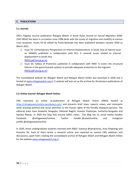#### **5. PUBLICATIONS**

#### **5.1.Journal:**

CRG's flagship Journal publication *Refugee Watch: A South Asian Journal on Forced Migration* (ISSN: 2347-405X) has been in circulation since 1998 deals with the issues of migration and mobility at various cross purposes. Issues 55-56 edited by Paula Banerjee has been published between January 2020 to March 2021.

1. Issue 55: Contemporary Perspectives on Internal Displacements in South Asia (A Special Issue on SANDD) published in collaboration with RLS. It covered issues related to internal displacement in South Asia.

[RW55.pdf \(mcrg.ac.in\)](http://www.mcrg.ac.in/rw%20files/RW55/RW55.pdf)

2. Issue 56: Fallacy of Protection published in collaboration with IWM. It covers the structural failures in the governmental systems to provide adequate protection to the migrants. [RW56.pdf \(mcrg.ac.in\)](http://www.mcrg.ac.in/rw%20files/RW56/RW56.pdf)

The consolidated website for *Refugee Watch* and *Refugee Watch Online* was launched in 2020 and is hosted at [www.refugeewatch.org.in.](http://www.refugeewatch.org.in/) It website will also act as the archive for all previous publications of *Refugee Watch*.

# **5.2.Online Journal: Refugee Watch Online:**

CRG maintains an online co-publication of Refugee Watch Online (RWO) hosted at <https://refugeewatchonline.wordpress.com/> and presents brief news, reports, views, and comments while drawing political and social attention to the human rights of the forcibly displaced persons. The editorial team have Anwesha Sengupta, Debarati Bagchi, Ananya Chatterjee, Sucharita Sengupta and Samata Biswas. In 2020 the blog had around 10951 views. The blog has its social media handles Facebook: @refugeewatchonline, Twitter handle: @rwatchonline and Instagram profile @refugeewatchonline.

In 2020, three undergraduate students interned with RWO: Sukanya Bhattacharya, Arna Dirghangi and Annesha De. Each of them wrote a research article and reported on various CRG webinars and discussions, apart from creating the consolidated archive of Refugee Watch and Refugee Watch Online for the websit[e www.refugeewatch.org.in.](http://www.refugeewatch.org.in/)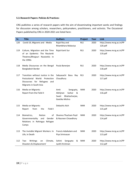#### **5.3.Research Papers: Policies & Practices:**

CRG publishes a series of research papers with the aim of disseminating important works and findings for discussion among scholars, researchers, policymakers, practitioners, and activists. The Occasional Papers published by CRG in 2020-2021 are listed here:

| Sr. | <b>Title</b>                                                                                                                    | <b>Authors</b>                                                                            | Project    | Year | <b>Link</b>                         |
|-----|---------------------------------------------------------------------------------------------------------------------------------|-------------------------------------------------------------------------------------------|------------|------|-------------------------------------|
| 120 | Covid-19, Migrants and Media                                                                                                    | Rajat Roy and<br>Ritambhara Malaviya                                                      | <b>RLS</b> | 2020 | http://www.mcrg.ac.in/PP<br>120.pdf |
| 119 | Culture, Migration and the Time<br>of an Epidemic: The Nautanki<br>Theatres/Bhojpuri Nautankis in<br>the 1990s                  | Rajat Kanti Sur                                                                           | <b>RLS</b> | 2020 | http://www.mcrg.ac.in/PP<br>119.pdf |
| 118 | Media Discourses on the Bengal<br>Bangladesh Border                                                                             | Paula Banerjee                                                                            | <b>RLS</b> | 2020 | http://www.mcrg.ac.in/PP<br>118.pdf |
| 117 | Transition without Justice in the<br>Postcolonial World: Protection<br>Discourses for Refugees<br>and<br>Migrants in South Asia | Sabyasachi Basu<br>Ray<br>Chaudhury                                                       | <b>RLS</b> | 2020 | http://www.mcrg.ac.in/PP<br>117.pdf |
| 116 | Media on Migrants:<br>Report from the Field-II                                                                                  | Amit<br>Sengupta,<br>Sarkar<br>&<br>Abhijnan<br>Swati<br>Bhattacharjee,<br>Geetika Mishra | <b>IWM</b> | 2020 | http://www.mcrg.ac.in/PP<br>116.pdf |
| 115 | Media on Migrants:<br>from<br>Report<br>the<br>Field-I                                                                          | Debashis Aich                                                                             | <b>IWM</b> | 2020 | http://www.mcrg.ac.in/PP<br>115.pdf |
| 114 | Biometrics,<br><b>Notion</b><br>of<br>Governmentality<br>Gender<br>and<br>Relations in Rohingya<br>Refugee<br>Camps             | Shamna Thacham Poyil<br>& Nasreen Chowdhory                                               | <b>IWM</b> | 2020 | http://www.mcrg.ac.in/PP<br>114.pdf |
| 113 | The Invisible Migrant Workers: In<br>Life, In Death                                                                             | Francis Adaikalam and<br>Piya Srinivasan                                                  | <b>IWM</b> | 2020 | http://www.mcrg.ac.in/PP<br>113.pdf |
| 112 | Two<br>Writings<br>Climate,<br>on<br>Disasters & Displacement`                                                                  | Sengupta<br>Sohini<br>&<br>Jyothi Krishnan                                                | <b>IWM</b> | 2020 | http://www.mcrg.ac.in/PP<br>112.pdf |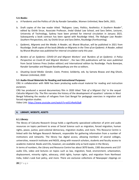#### **5.4. Books:**

- a. A Pandemic and the Politics of Life by Ranabir Samaddar, Women Unlimited, New Delhi, 2021.
- b. Draft copies of the law reader titled: *"Refugees: Laws, Politics, Aesthetics: A Southern Reader"*, edited by Oishik Sircar, Associate Professor, Jindal Global Law School, and Sara Dehm, Lecturer, University of Technology, Sydney have been printed for internal circulation in January 2021. Subsequently a book contract has been signed with Routledge titled, *The Refugee Law Reader: Southern Perspectives*, eds. by Oishik Sircar and Sara Dehm, Routledge (Forthcoming).
- c. *Epidemic, Migrants and the Media: A Reader*, ed. Bharat Bhushan, will be published in 2021 from Routledge. Draft copies of the book (*Media on Migrants in the Time of an Epidemic: A Reader*, edited by Bharat Bhushan was published for internal circulation early this year.
- d. *Borders of an Epidemic: COVID-19 and Migrant Workers' and 'Burdens of an Epidemic: A Policy Perspective on Covid-19 and Migrant Workers'* , the two CRG publications will be soon published from Social Science Press (Indian edition) and International edition by Routledge. Paula Banerjee, Ranabir Samaddar and Ritajyoti Bandhopadhyay are the co-editors.
- e. *Situating Social Media: Gender, Caste, Protest, Solidarity,* eds. by Samata Biswas and Atig Ghosh, Women Unlimited, 2020

#### **5.5 Audio-Visual Materials for Reading and Instructional Purposes:**

CRG in collaboration with IWM has been producing audio-visual material for reading and instruction purposes.

CRG has produced a second documentary film in 2020 titled *'Tale of a Migrant City'* in the sequel *Calcutta Migrant City*. The film narrates the history of the development of squatters' colonies in West Bengal following the exodus of refugees from East Bengal for pedagogic exercises in migration and forced migration studies.

Video Link[: https://www.youtube.com/watch?v=w5CnRwKd3p8](https://www.youtube.com/watch?v=w5CnRwKd3p8)

# **6. LIBRARY, WEBSITE, ASSETS**

# **6.1.Library:**

The library of Calcutta Research Group holds a significantly specialized collection of print and audio resources on topics pertinent to areas of Social Science such as migration, forced migration, human rights, peace, justice, post-colonial democracy, migration studies, and more. This Resource Centre is linked with the Refugee Research Network, responsible for gathering information from a number of institutions and networks. The library has digital access, allowing members of several colleges, universities, research institutes and NGOS, along with research scholars, students and faculty access to academic material. Books and CDs, however, are available only as hard copies in the library.

In terms of numbers, the Library and Resource Centre has about 3070 books, 1383 documents and 237 audio CDs, video and lectures on topics such as law, migration, food, environment, urbanization, displacement, minority rights, advocacy, child rights, human rights, and migration from Northeast India, India's Look East policy, and more. There are exclusive collections of Newspaper clippings on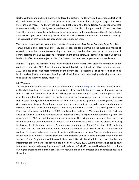Northeast India, and archived materials on forced migration. The library also has a good collection of donated books on topics such as Modern India, human culture, the sociological imagination, Dalit literature, and more. The library has subscribed Koha from the Bengal Library Association since last November. It will gradually migrate its database to Koha. The library has purchased 200 new books last year. The librarian gradually started cataloguing those books to the new database (Koha). The Calcutta Research Group is a subscriber to journals of repute such as JSTOR and Economic and Political Weekly. The subscription of Project-Muse began from September last year.

The current library advisory committee consists of Samir Kumar Das, Purna Banerjee, Rajat Roy, Ankur Tamuli Phukan and Rajat Kanti Sur. They are responsible for determining the rules and modes of operation. A further committee consisting of student and members had been set up to take stock of library holdings and give suggestions for improvement of the library. It submitted its report under the leadership of Dr. Purna Banerjee in 2019. The Director has been working on its recommendations.

Nandini Dasgupta, the librarian joined last year left the job in March 2021 after the completion of her contract tenure with CRG. A new librarian, Binayak Mallick, has joined the office commencing July, 2021, and has taken over most functions of the library. He is preparing a list of necessities, such as books on classification and subject headings, which will further help in managing and giving a structure to existing and incoming library resources.

# **6.2.Website:**

The website of Mahanirban Calcutta Research Group is hosted at mcrg.ac.in. The website not only acts as the digital platform for showcasing the activities of the institute but also serves as the repository of the research and reference through its archiving of resources curated across various genres and is available on public domain except few restricted by either the copyright laws or are in the process of transmission into digital data. The website has been heuristically designed into seven segments-research & programmes, dialogues & conferences, public lectures and seminars researchers and board members, distinguished chair, publications & reports, and library and resource centre. The current projects Global Protection of Migrants and Refugees (2020) and Migration and Forced Migration Studies with Particular Focus on South Asia and its European-Asian Dimension (2019-2021) have been updated regularly. The programmes of CRG are updated regularly on its website. The Living Archive resources have increased manifolds and has been indexed on a temporal scale. A new secured portal is in the process of making for hosting the Sixth Annual research & orientation programme on Global Protection of Migrants and Refugees and the Teachers Online Course where the website itself would act as a communication platform for education between the participants and the resource persons. The website is updated and maintained by Samaresh Guchhait from the administrative unit of Calcutta Research Group with the support of the Programme and Research Associates. He will be aided by our nee librarian and information officer Vinayak Mallick who has joined since  $1<sup>st</sup>$  July 2021. With the increasing need to atune to the new normal in the ongoing pandemic induced due to Covid-19, the need has been felt to optimise our digital presence and hence discussions on recruitment of a webmaster on a contractual basis is in the offing.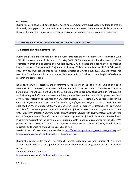#### **6.3.Assets:**

During this period two Dell laptops, two UPS and one computer were purchased. In addition to that one shoe rack, two geysers and one sanitizer machine were purchased. Details are available in the Asset Register. The register is maintained on regular basis and the updated register is open for inspection.

# **7. RESEARCH & ADMINISTRATIVE STAFF AND OTHER OFFICE MATTERS**

# **7.1 Research and Administrative Staff**

During the period under report, Prof Samir Kumar Das held the post of Honorary Director from June 2019 till the completion of his term on 31 May 2021; CRG thanks him for his able steering of the organisation through a pandemic and two lockdowns. CRG also takes the opportunity of expressing its gratitude to Prof Shyamalendu Majumdar for having officiated as the Director till Prof Sabyasachi Basu Ray Chaudhury took charge as the Honorary Director of CRG from July 2021. CRG welcomes Prof Basu Ray Chaudhury and hopes that under his stewardship CRG will reach new heights of collective research and camaraderie.

Rajat Roy's tenure as Research and Programme Associate under the RLS project came to an end in December 2020, however, he is associated with CRG's in its research work. Kusumika Ghosh, Utsa Sarmin and Piya Srinivasan left CRG on the completion of their projects. Rajat Kanti Sur continues his work sincerely and efficiently as Research & Programme Associate for the CRG- RLS project on *Deep Dive: Global Protection of Refugees and Migrants*. Shatabdi Das re-joined CRG as Researcher for the CRG-RLS project on *Deep Dive: Global Protection of Refugees and Migrants* in April 2021. She has obtained her PhD in October 2020. Anand Upendran joined in February as Research and Programme Associate for the same project. Ankur Tamuli Phukan joined as Research and Programme Associate under CRG-IWM project on *Migration and Forced Migration Studies with particular focus on South Asia and its European-Asian Dimension* in February 2021. Priyankar Dey joined in February as Research and Programme Assistant for the same project. Rituparna Datta joined as a researcher for the CRG-IWM project in March 2021. Shatabdi Das and Rituparna Datta are Associates of Distinguished Chair in Migration and Forced Migration Studies of CRG as well.

Details of the staff researchers are available at [http://www.mcrg.ac.in/CRG\\_Researchers\\_RPA.asp](http://www.mcrg.ac.in/CRG_Researchers_RPA.asp) and [http://www.mcrg.ac.in/CRG\\_Researchers\\_RPAssitances.asp](http://www.mcrg.ac.in/CRG_Researchers_RPAssitances.asp)

During the period under report two research interns, Digangana Das and Farseen Ali P.V, were attached with CRG for a short period of time under the internship programme for their respective research.

For details of the interns visit:

[http://www.mcrg.ac.in/CRG\\_Researchers\\_Intern.asp](http://www.mcrg.ac.in/CRG_Researchers_Intern.asp)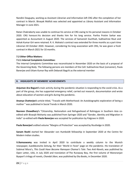Nandini Dasgupta, working as Assistant Librarian and Information left CRG after the completion of her contract in March. Binayak Mallick was selected and appointed as Library Assistant and Information Manager in June 2021.

Ratan Chakraborty was unable to continue his service at CRG owing to his personal reasons in October 2020. CRG honours his decision and thanks him for his long service. Partha Protim Sarkar was appointed as Accountant in August 2020. The services of Samaresh Guchhait, Subhashree Rout and Ashok Kumar Giri were retained. R. K. Mahato's contract was extended for three months as a part-time Librarian till October 2020. However, considering his long association with CRG, he was given a fresh contract in March 2021 for 10 months.

# **7.2 Other Office Matters:**

# **7.2.1 Internal Complaints Committee:**

The Internal Complaints Committee was reconstituted in November 2020 on the basis of a proposal of the Governing Body. The following persons are members of the Cell: Subhashree Rout (convener), Paula Banerjee and Uttam Kumar Ray with Debarati Bagchi as the external member

# **8. HIGHLIGHTS OF MEMBERS' ACHIEVEMENTS**

**Anjuman Ara Begum's** main activity during the pandemic situation is responding to the covid crisis. As a part of the group, she has supported emergency relief, carried out research, documentation and wrote about education of women and girls during the pandemic.

**Ananya Chatterjee's** article titled, "Travails with Motherhood: An Autobiographic exploration of being a mother " was published in Social Trends in March 2020.

**Nasreen Chowdhory's** "Citizenship, Nationalism and Refugeehood of Rohingyas in Southern Asia coedited with Biswajit Mohanty was published from Springer 2020 and "Gender, Identity and Migration in India" co-edited with **Paula Banerjee** was accepted for publication by Palgrave in 2020.

**Paula Banerjee's** edited volume "Margins of Protection" was accepted by Routledge in 2020.

**Sanam Roohi** started her Alexander von Humboldt fellowship in September 2020 at the Centre for Modern Indian studies.

**V.Ramaswamy** was invited in April 2020 to contribute a weekly column to the Munich newspaper, Sueddeutsche Zeitung, for their 'World in Fever' page on the pandemic. His translation of Subimal Misra's, *This Could Have Become Ramayan Chamar's Tale: Two Anti-Novels*, was published by Open Letter, USA, in July 2020 and translation of The Runaway Boy, the first volume of Manoranjan Byapari's trilogy of novels, *Chandal Jibon*, was published by Eka Books, in December 2020.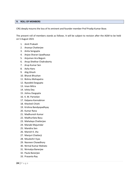#### **9. ROLL OF MEMBERS**

CRG deeply mourns the loss of its eminent and founder member Prof Pradip Kumar Bose.

The present roll of members stands as follows. It will be subject to revision after the AGM to be held on 5 August 2021

- 1. Amit Prakash
- 2. Ananya Chatterjee
- 3. Anita Sengupta
- 4. Anjoo Sharan Upadhyaya
- 5. Anjuman Ara Begum
- 6. Anup Shekhar Chakraborty
- 7. Arup Kumar Sen
- 8. Asha Hans
- 9. Atig Ghosh
- 10. Bharat Bhushan
- 11. Bishnu Mohapatra
- 12. Byasdeb Dasgupta
- 13. Iman Mitra
- 14. Ishita Dey
- 15. Jishnu Dasgupta
- 16. K. M. Parivelan
- 17. Kalpana Kannabiran
- 18. Khesheli Chishi
- 19. Krishna Bandyopadhyay
- 20. Kumar Rana
- 21. Madhuresh Kumar
- 22. Madhurilata Basu
- 23. Mahalaya Chatterjee
- 24. Manabi Majumdar
- 25. Mandira Sen
- 26. Manish K. Jha
- 27. Manjuri Chatterji
- 28. Mouleshri Vyas
- 29. Nasreen Chowdhory
- 30. Nirmal Kumar Mahato
- 31. Nirmalya Banerjee
- 32. Paula Banerjee
- 33. Prasanta Ray